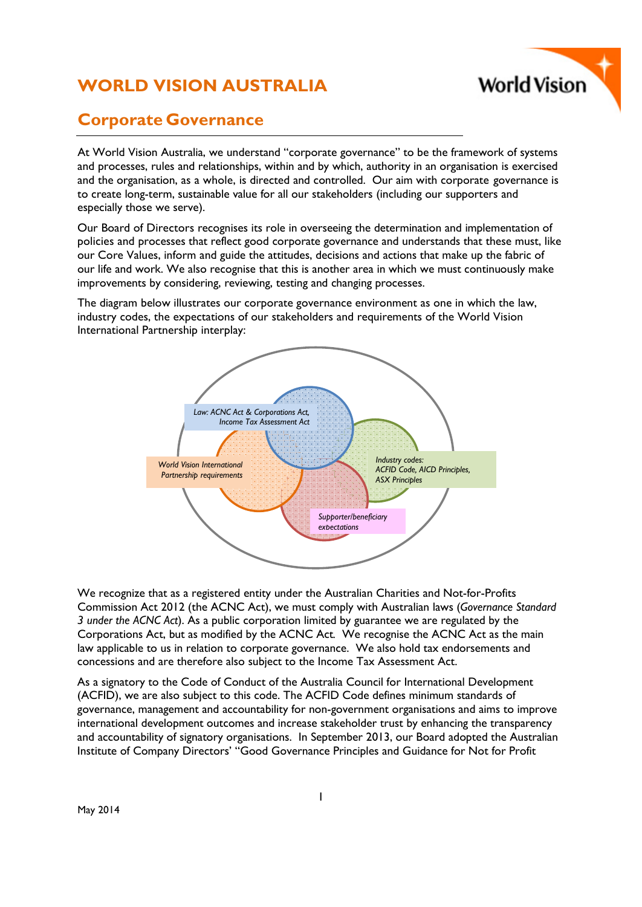# **WORLD VISION AUSTRALIA**



# **Corporate Governance**

At World Vision Australia, we understand "corporate governance" to be the framework of systems and processes, rules and relationships, within and by which, authority in an organisation is exercised and the organisation, as a whole, is directed and controlled. Our aim with corporate governance is to create long-term, sustainable value for all our stakeholders (including our supporters and especially those we serve).

Our Board of Directors recognises its role in overseeing the determination and implementation of policies and processes that reflect good corporate governance and understands that these must, like our Core Values, inform and guide the attitudes, decisions and actions that make up the fabric of our life and work. We also recognise that this is another area in which we must continuously make improvements by considering, reviewing, testing and changing processes.

The diagram below illustrates our corporate governance environment as one in which the law, industry codes, the expectations of our stakeholders and requirements of the World Vision International Partnership interplay:



We recognize that as a registered entity under the Australian Charities and Not-for-Profits Commission Act 2012 (the ACNC Act), we must comply with Australian laws (*Governance Standard 3 under the ACNC Act*). As a public corporation limited by guarantee we are regulated by the Corporations Act, but as modified by the ACNC Act*.* We recognise the ACNC Act as the main law applicable to us in relation to corporate governance. We also hold tax endorsements and concessions and are therefore also subject to the Income Tax Assessment Act.

As a signatory to the Code of Conduct of the Australia Council for International Development (ACFID), we are also subject to this code. The ACFID Code defines minimum standards of governance, management and accountability for non-government organisations and aims to improve international development outcomes and increase stakeholder trust by enhancing the transparency and accountability of signatory organisations. In September 2013, our Board adopted the Australian Institute of Company Directors' "Good Governance Principles and Guidance for Not for Profit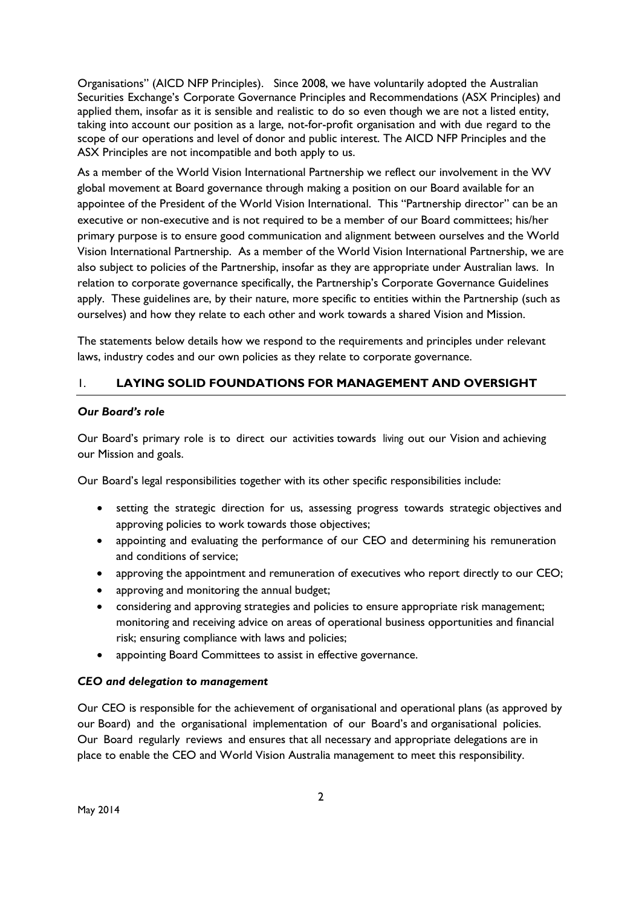Organisations" (AICD NFP Principles). Since 2008, we have voluntarily adopted the Australian Securities Exchange's Corporate Governance Principles and Recommendations (ASX Principles) and applied them, insofar as it is sensible and realistic to do so even though we are not a listed entity, taking into account our position as a large, not-for-profit organisation and with due regard to the scope of our operations and level of donor and public interest. The AICD NFP Principles and the ASX Principles are not incompatible and both apply to us.

As a member of the World Vision International Partnership we reflect our involvement in the WV global movement at Board governance through making a position on our Board available for an appointee of the President of the World Vision International. This "Partnership director" can be an executive or non-executive and is not required to be a member of our Board committees; his/her primary purpose is to ensure good communication and alignment between ourselves and the World Vision International Partnership. As a member of the World Vision International Partnership, we are also subject to policies of the Partnership, insofar as they are appropriate under Australian laws. In relation to corporate governance specifically, the Partnership's Corporate Governance Guidelines apply. These guidelines are, by their nature, more specific to entities within the Partnership (such as ourselves) and how they relate to each other and work towards a shared Vision and Mission.

The statements below details how we respond to the requirements and principles under relevant laws, industry codes and our own policies as they relate to corporate governance.

## 1. **LAYING SOLID FOUNDATIONS FOR MANAGEMENT AND OVERSIGHT**

#### *Our Board's role*

Our Board's primary role is to direct our activities towards living out our Vision and achieving our Mission and goals.

Our Board's legal responsibilities together with its other specific responsibilities include:

- setting the strategic direction for us, assessing progress towards strategic objectives and approving policies to work towards those objectives;
- appointing and evaluating the performance of our CEO and determining his remuneration and conditions of service;
- approving the appointment and remuneration of executives who report directly to our CEO;
- approving and monitoring the annual budget;
- considering and approving strategies and policies to ensure appropriate risk management; monitoring and receiving advice on areas of operational business opportunities and financial risk; ensuring compliance with laws and policies;
- appointing Board Committees to assist in effective governance.

#### *CEO and delegation to management*

Our CEO is responsible for the achievement of organisational and operational plans (as approved by our Board) and the organisational implementation of our Board's and organisational policies. Our Board regularly reviews and ensures that all necessary and appropriate delegations are in place to enable the CEO and World Vision Australia management to meet this responsibility.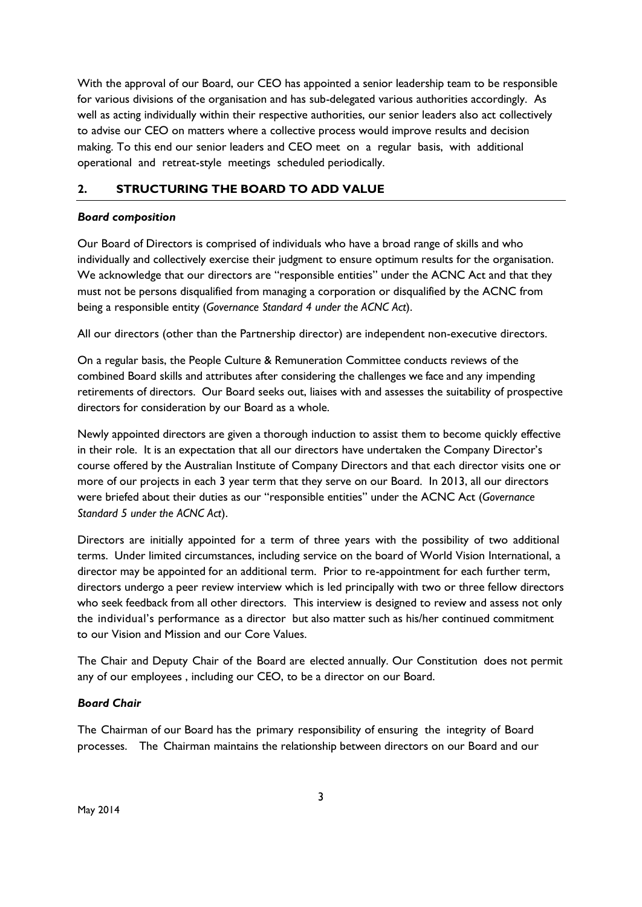With the approval of our Board, our CEO has appointed a senior leadership team to be responsible for various divisions of the organisation and has sub-delegated various authorities accordingly. As well as acting individually within their respective authorities, our senior leaders also act collectively to advise our CEO on matters where a collective process would improve results and decision making. To this end our senior leaders and CEO meet on a regular basis, with additional operational and retreat-style meetings scheduled periodically.

## **2. STRUCTURING THE BOARD TO ADD VALUE**

#### *Board composition*

Our Board of Directors is comprised of individuals who have a broad range of skills and who individually and collectively exercise their judgment to ensure optimum results for the organisation. We acknowledge that our directors are "responsible entities" under the ACNC Act and that they must not be persons disqualified from managing a corporation or disqualified by the ACNC from being a responsible entity (*Governance Standard 4 under the ACNC Act*).

All our directors (other than the Partnership director) are independent non-executive directors.

On a regular basis, the People Culture & Remuneration Committee conducts reviews of the combined Board skills and attributes after considering the challenges we face and any impending retirements of directors. Our Board seeks out, liaises with and assesses the suitability of prospective directors for consideration by our Board as a whole.

Newly appointed directors are given a thorough induction to assist them to become quickly effective in their role. It is an expectation that all our directors have undertaken the Company Director's course offered by the Australian Institute of Company Directors and that each director visits one or more of our projects in each 3 year term that they serve on our Board. In 2013, all our directors were briefed about their duties as our "responsible entities" under the ACNC Act (*Governance Standard 5 under the ACNC Act*).

Directors are initially appointed for a term of three years with the possibility of two additional terms. Under limited circumstances, including service on the board of World Vision International, a director may be appointed for an additional term. Prior to re-appointment for each further term, directors undergo a peer review interview which is led principally with two or three fellow directors who seek feedback from all other directors. This interview is designed to review and assess not only the individual's performance as a director but also matter such as his/her continued commitment to our Vision and Mission and our Core Values.

The Chair and Deputy Chair of the Board are elected annually. Our Constitution does not permit any of our employees , including our CEO, to be a director on our Board.

## *Board Chair*

The Chairman of our Board has the primary responsibility of ensuring the integrity of Board processes. The Chairman maintains the relationship between directors on our Board and our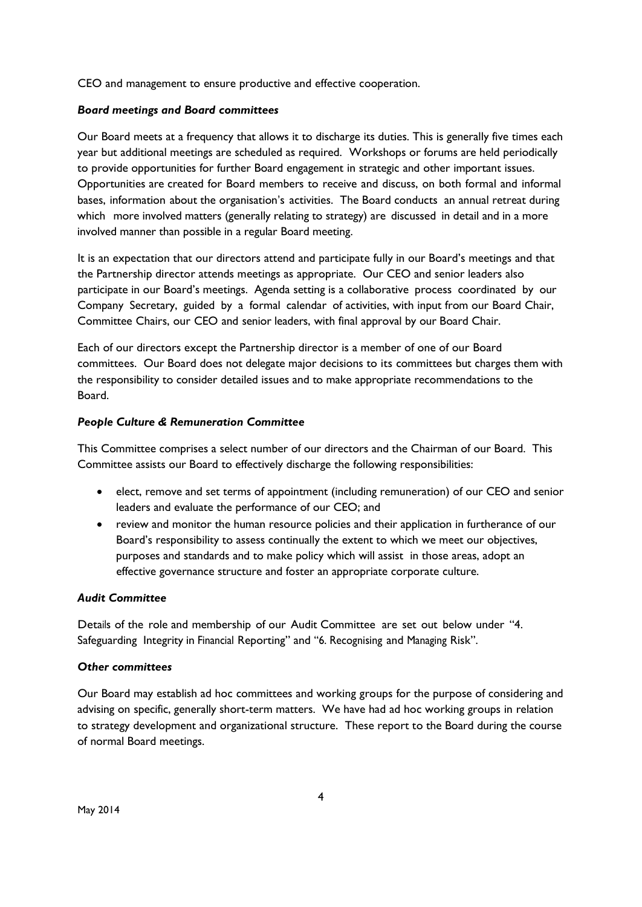CEO and management to ensure productive and effective cooperation.

## *Board meetings and Board committees*

Our Board meets at a frequency that allows it to discharge its duties. This is generally five times each year but additional meetings are scheduled as required. Workshops or forums are held periodically to provide opportunities for further Board engagement in strategic and other important issues. Opportunities are created for Board members to receive and discuss, on both formal and informal bases, information about the organisation's activities. The Board conducts an annual retreat during which more involved matters (generally relating to strategy) are discussed in detail and in a more involved manner than possible in a regular Board meeting.

It is an expectation that our directors attend and participate fully in our Board's meetings and that the Partnership director attends meetings as appropriate. Our CEO and senior leaders also participate in our Board's meetings. Agenda setting is a collaborative process coordinated by our Company Secretary, guided by a formal calendar of activities, with input from our Board Chair, Committee Chairs, our CEO and senior leaders, with final approval by our Board Chair.

Each of our directors except the Partnership director is a member of one of our Board committees. Our Board does not delegate major decisions to its committees but charges them with the responsibility to consider detailed issues and to make appropriate recommendations to the Board.

#### *People Culture & Remuneration Committee*

This Committee comprises a select number of our directors and the Chairman of our Board. This Committee assists our Board to effectively discharge the following responsibilities:

- elect, remove and set terms of appointment (including remuneration) of our CEO and senior leaders and evaluate the performance of our CEO; and
- review and monitor the human resource policies and their application in furtherance of our Board's responsibility to assess continually the extent to which we meet our objectives, purposes and standards and to make policy which will assist in those areas, adopt an effective governance structure and foster an appropriate corporate culture.

## *Audit Committee*

Details of the role and membership of our Audit Committee are set out below under "4. Safeguarding Integrity in Financial Reporting" and "6. Recognising and Managing Risk".

#### *Other committees*

Our Board may establish ad hoc committees and working groups for the purpose of considering and advising on specific, generally short-term matters. We have had ad hoc working groups in relation to strategy development and organizational structure. These report to the Board during the course of normal Board meetings.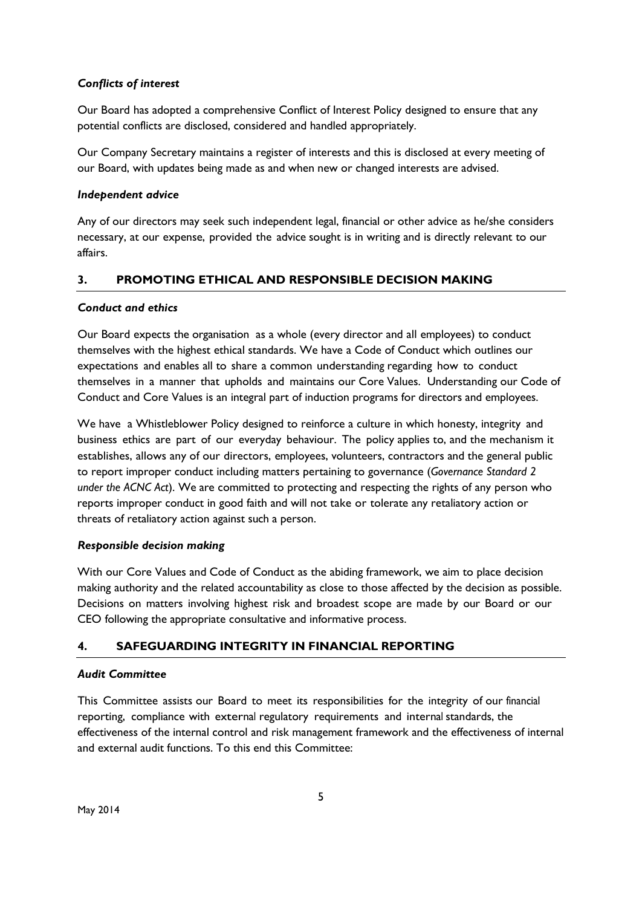## *Conflicts of interest*

Our Board has adopted a comprehensive Conflict of Interest Policy designed to ensure that any potential conflicts are disclosed, considered and handled appropriately.

Our Company Secretary maintains a register of interests and this is disclosed at every meeting of our Board, with updates being made as and when new or changed interests are advised.

## *Independent advice*

Any of our directors may seek such independent legal, financial or other advice as he/she considers necessary, at our expense, provided the advice sought is in writing and is directly relevant to our affairs.

# **3. PROMOTING ETHICAL AND RESPONSIBLE DECISION MAKING**

## *Conduct and ethics*

Our Board expects the organisation as a whole (every director and all employees) to conduct themselves with the highest ethical standards. We have a Code of Conduct which outlines our expectations and enables all to share a common understanding regarding how to conduct themselves in a manner that upholds and maintains our Core Values. Understanding our Code of Conduct and Core Values is an integral part of induction programs for directors and employees.

We have a Whistleblower Policy designed to reinforce a culture in which honesty, integrity and business ethics are part of our everyday behaviour. The policy applies to, and the mechanism it establishes, allows any of our directors, employees, volunteers, contractors and the general public to report improper conduct including matters pertaining to governance (*Governance Standard 2 under the ACNC Act*). We are committed to protecting and respecting the rights of any person who reports improper conduct in good faith and will not take or tolerate any retaliatory action or threats of retaliatory action against such a person.

## *Responsible decision making*

With our Core Values and Code of Conduct as the abiding framework, we aim to place decision making authority and the related accountability as close to those affected by the decision as possible. Decisions on matters involving highest risk and broadest scope are made by our Board or our CEO following the appropriate consultative and informative process.

# **4. SAFEGUARDING INTEGRITY IN FINANCIAL REPORTING**

## *Audit Committee*

This Committee assists our Board to meet its responsibilities for the integrity of our financial reporting, compliance with external regulatory requirements and internal standards, the effectiveness of the internal control and risk management framework and the effectiveness of internal and external audit functions. To this end this Committee: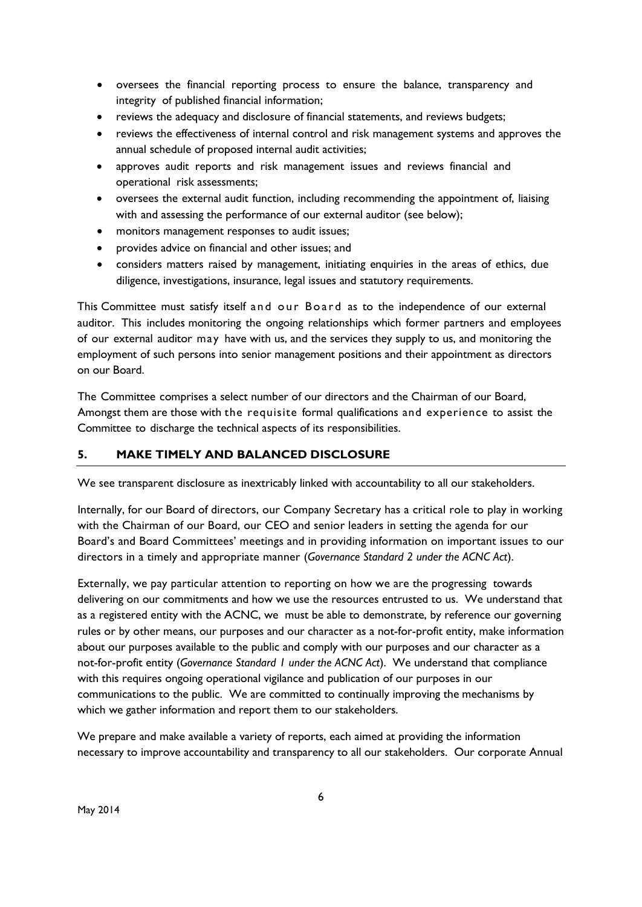- oversees the financial reporting process to ensure the balance, transparency and integrity of published financial information;
- reviews the adequacy and disclosure of financial statements, and reviews budgets;
- reviews the effectiveness of internal control and risk management systems and approves the annual schedule of proposed internal audit activities;
- approves audit reports and risk management issues and reviews financial and operational risk assessments;
- oversees the external audit function, including recommending the appointment of, liaising with and assessing the performance of our external auditor (see below);
- monitors management responses to audit issues;
- provides advice on financial and other issues; and
- considers matters raised by management, initiating enquiries in the areas of ethics, due diligence, investigations, insurance, legal issues and statutory requirements.

This Committee must satisfy itself and our Board as to the independence of our external auditor. This includes monitoring the ongoing relationships which former partners and employees of our external auditor may have with us, and the services they supply to us, and monitoring the employment of such persons into senior management positions and their appointment as directors on our Board.

The Committee comprises a select number of our directors and the Chairman of our Board, Amongst them are those with the requisite formal qualifications and experience to assist the Committee to discharge the technical aspects of its responsibilities.

# **5. MAKE TIMELY AND BALANCED DISCLOSURE**

We see transparent disclosure as inextricably linked with accountability to all our stakeholders.

Internally, for our Board of directors, our Company Secretary has a critical role to play in working with the Chairman of our Board, our CEO and senior leaders in setting the agenda for our Board's and Board Committees' meetings and in providing information on important issues to our directors in a timely and appropriate manner (*Governance Standard 2 under the ACNC Act*).

Externally, we pay particular attention to reporting on how we are the progressing towards delivering on our commitments and how we use the resources entrusted to us. We understand that as a registered entity with the ACNC, we must be able to demonstrate, by reference our governing rules or by other means, our purposes and our character as a not-for-profit entity, make information about our purposes available to the public and comply with our purposes and our character as a not-for-profit entity (*Governance Standard 1 under the ACNC Act*). We understand that compliance with this requires ongoing operational vigilance and publication of our purposes in our communications to the public. We are committed to continually improving the mechanisms by which we gather information and report them to our stakeholders.

We prepare and make available a variety of reports, each aimed at providing the information necessary to improve accountability and transparency to all our stakeholders. Our corporate Annual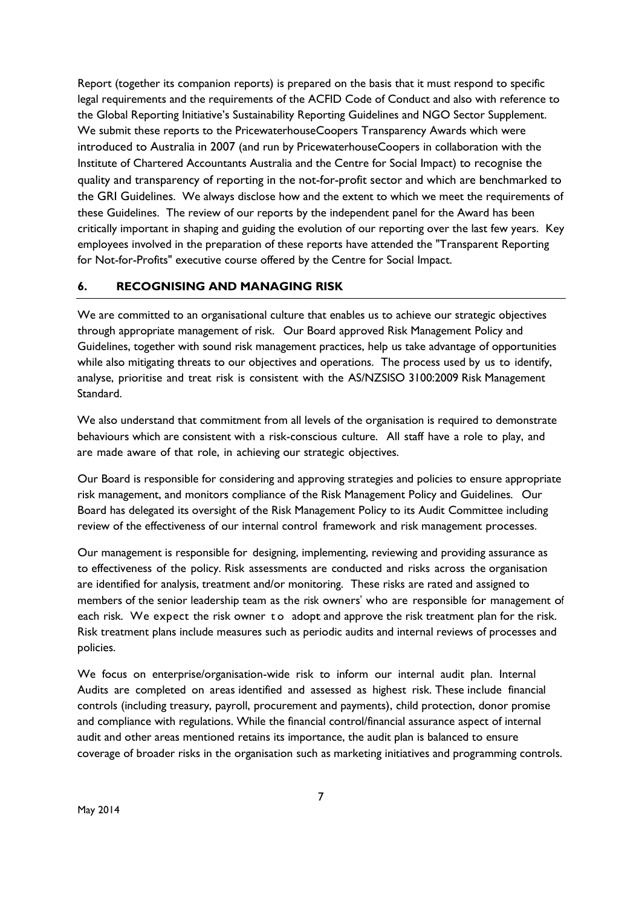Report (together its companion reports) is prepared on the basis that it must respond to specific legal requirements and the requirements of the ACFID Code of Conduct and also with reference to the Global Reporting Initiative's Sustainability Reporting Guidelines and NGO Sector Supplement. We submit these reports to the PricewaterhouseCoopers Transparency Awards which were introduced to Australia in 2007 (and run by PricewaterhouseCoopers in collaboration with the Institute of Chartered Accountants Australia and the Centre for Social Impact) to recognise the quality and transparency of reporting in the not-for-profit sector and which are benchmarked to the GRI Guidelines. We always disclose how and the extent to which we meet the requirements of these Guidelines. The review of our reports by the independent panel for the Award has been critically important in shaping and guiding the evolution of our reporting over the last few years. Key employees involved in the preparation of these reports have attended the "Transparent Reporting for Not-for-Profits" executive course offered by the Centre for Social Impact.

## **6. RECOGNISING AND MANAGING RISK**

We are committed to an organisational culture that enables us to achieve our strategic objectives through appropriate management of risk. Our Board approved Risk Management Policy and Guidelines, together with sound risk management practices, help us take advantage of opportunities while also mitigating threats to our objectives and operations. The process used by us to identify, analyse, prioritise and treat risk is consistent with the AS/NZSISO 3100:2009 Risk Management Standard.

We also understand that commitment from all levels of the organisation is required to demonstrate behaviours which are consistent with a risk-conscious culture. All staff have a role to play, and are made aware of that role, in achieving our strategic objectives.

Our Board is responsible for considering and approving strategies and policies to ensure appropriate risk management, and monitors compliance of the Risk Management Policy and Guidelines. Our Board has delegated its oversight of the Risk Management Policy to its Audit Committee including review of the effectiveness of our internal control framework and risk management processes.

Our management is responsible for designing, implementing, reviewing and providing assurance as to effectiveness of the policy. Risk assessments are conducted and risks across the organisation are identified for analysis, treatment and/or monitoring. These risks are rated and assigned to members of the senior leadership team as the risk owners" who are responsible for management of each risk. We expect the risk owner to adopt and approve the risk treatment plan for the risk. Risk treatment plans include measures such as periodic audits and internal reviews of processes and policies.

We focus on enterprise/organisation-wide risk to inform our internal audit plan. Internal Audits are completed on areas identified and assessed as highest risk. These include financial controls (including treasury, payroll, procurement and payments), child protection, donor promise and compliance with regulations. While the financial control/financial assurance aspect of internal audit and other areas mentioned retains its importance, the audit plan is balanced to ensure coverage of broader risks in the organisation such as marketing initiatives and programming controls.